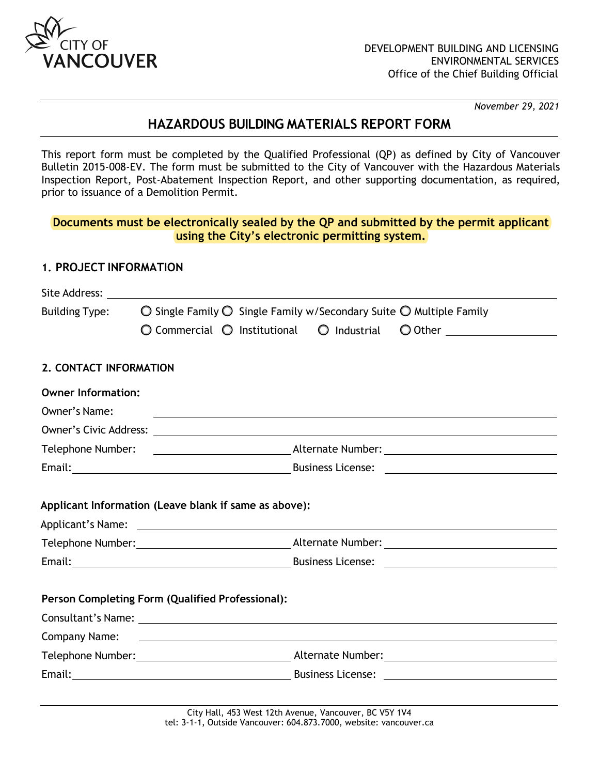

*November 29, 2021*

# **HAZARDOUS BUILDING MATERIALS REPORT FORM**

This report form must be completed by the Qualified Professional (QP) as defined by City of Vancouver Bulletin 2015-008-EV. The form must be submitted to the City of Vancouver with the Hazardous Materials Inspection Report, Post-Abatement Inspection Report, and other supporting documentation, as required, prior to issuance of a Demolition Permit.

## **Documents must be electronically sealed by the QP and submitted by the permit applicant using the City's electronic permitting system.**

#### **1. PROJECT INFORMATION**

|                           | Site Address: Site Address:                                                                                            |                                                                                                |                              |  |  |  |
|---------------------------|------------------------------------------------------------------------------------------------------------------------|------------------------------------------------------------------------------------------------|------------------------------|--|--|--|
| <b>Building Type:</b>     |                                                                                                                        | $\bigcirc$ Single Family $\bigcirc$ Single Family w/Secondary Suite $\bigcirc$ Multiple Family |                              |  |  |  |
|                           | $\bigcirc$ Commercial $\bigcirc$ Institutional                                                                         | $\bigcirc$ Industrial                                                                          | O Other ____________________ |  |  |  |
| 2. CONTACT INFORMATION    |                                                                                                                        |                                                                                                |                              |  |  |  |
| <b>Owner Information:</b> |                                                                                                                        |                                                                                                |                              |  |  |  |
| Owner's Name:             |                                                                                                                        |                                                                                                |                              |  |  |  |
|                           |                                                                                                                        |                                                                                                |                              |  |  |  |
|                           |                                                                                                                        |                                                                                                |                              |  |  |  |
|                           |                                                                                                                        |                                                                                                |                              |  |  |  |
|                           |                                                                                                                        |                                                                                                |                              |  |  |  |
|                           | Applicant Information (Leave blank if same as above):                                                                  |                                                                                                |                              |  |  |  |
|                           |                                                                                                                        |                                                                                                |                              |  |  |  |
|                           | Person Completing Form (Qualified Professional):                                                                       |                                                                                                |                              |  |  |  |
|                           |                                                                                                                        |                                                                                                |                              |  |  |  |
| <b>Company Name:</b>      | <u> 1989 - Johann Stoff, deutscher Stoffen und der Stoffen und der Stoffen und der Stoffen und der Stoffen und der</u> |                                                                                                |                              |  |  |  |
|                           |                                                                                                                        |                                                                                                |                              |  |  |  |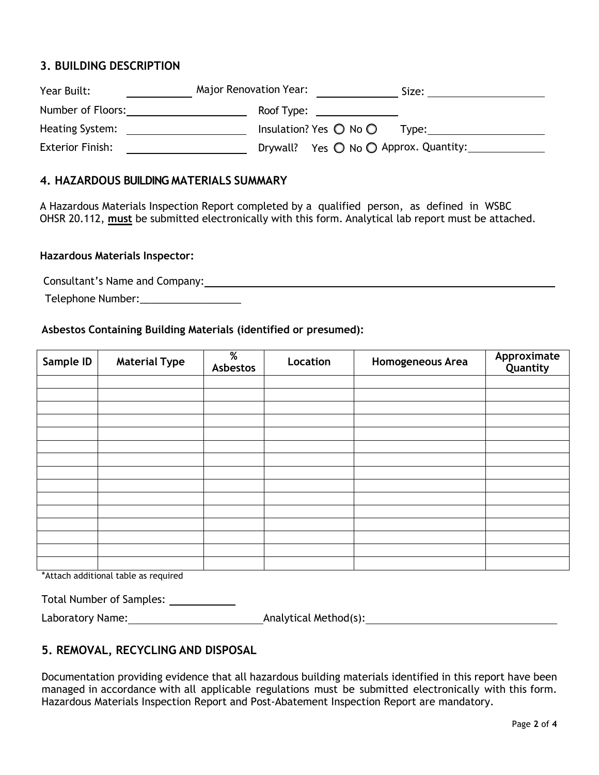## **3. BUILDING DESCRIPTION**

| Year Built:             | Major Renovation Year: | Size:                                             |
|-------------------------|------------------------|---------------------------------------------------|
| Number of Floors:       | Roof Type:             |                                                   |
| Heating System:         |                        | Insulation? Yes $\bigcirc$ No $\bigcirc$<br>Tvpe: |
| <b>Exterior Finish:</b> |                        | Drywall? Yes ○ No ○ Approx. Quantity:             |

#### **4. HAZARDOUS BUILDING MATERIALS SUMMARY**

A Hazardous Materials Inspection Report completed by a qualified person, as defined in WSBC OHSR 20.112, **must** be submitted electronically with this form. Analytical lab report must be attached.

#### **Hazardous Materials Inspector:**

Consultant's Name and Company:

Telephone Number:\_\_\_\_\_\_\_\_\_\_\_\_\_\_\_\_\_\_

#### **Asbestos Containing Building Materials (identified or presumed):**

| Sample ID | <b>Material Type</b> | %<br>Asbestos | Location | Homogeneous Area | Approximate<br>Quantity |
|-----------|----------------------|---------------|----------|------------------|-------------------------|
|           |                      |               |          |                  |                         |
|           |                      |               |          |                  |                         |
|           |                      |               |          |                  |                         |
|           |                      |               |          |                  |                         |
|           |                      |               |          |                  |                         |
|           |                      |               |          |                  |                         |
|           |                      |               |          |                  |                         |
|           |                      |               |          |                  |                         |
|           |                      |               |          |                  |                         |
|           |                      |               |          |                  |                         |
|           |                      |               |          |                  |                         |
|           |                      |               |          |                  |                         |
|           |                      |               |          |                  |                         |
|           |                      |               |          |                  |                         |
|           |                      |               |          |                  |                         |

\*Attach additional table as required

| <b>Total Number of Samples:</b> |  |  |  |
|---------------------------------|--|--|--|
|---------------------------------|--|--|--|

Laboratory Name: Analytical Method(s):

## **5. REMOVAL, RECYCLING AND DISPOSAL**

Documentation providing evidence that all hazardous building materials identified in this report have been managed in accordance with all applicable regulations must be submitted electronically with this form. Hazardous Materials Inspection Report and Post-Abatement Inspection Report are mandatory.